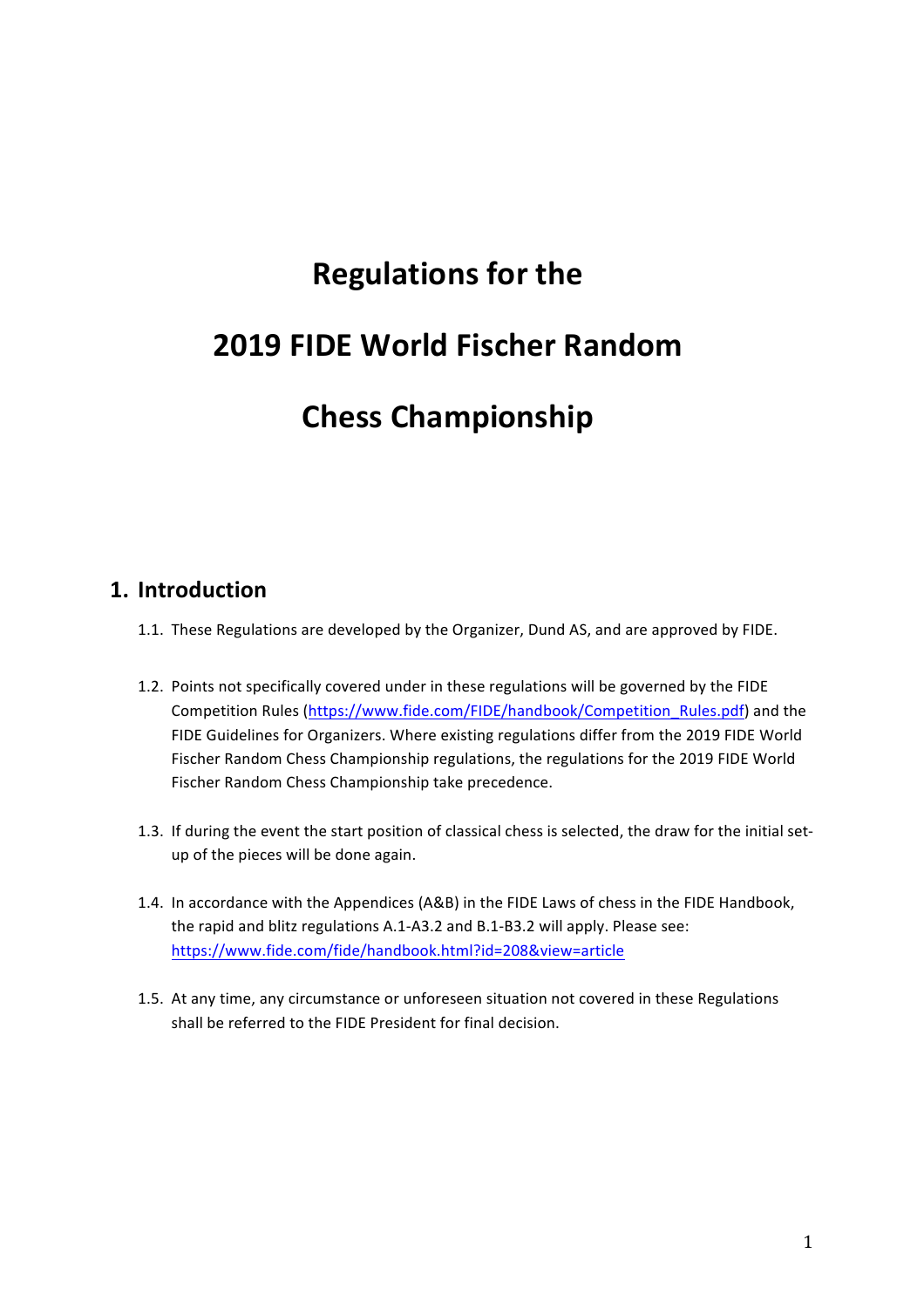# **Regulations for the**

# **2019 FIDE World Fischer Random**

# **Chess Championship**

### **1. Introduction**

- 1.1. These Regulations are developed by the Organizer, Dund AS, and are approved by FIDE.
- 1.2. Points not specifically covered under in these regulations will be governed by the FIDE Competition Rules (https://www.fide.com/FIDE/handbook/Competition\_Rules.pdf) and the FIDE Guidelines for Organizers. Where existing regulations differ from the 2019 FIDE World Fischer Random Chess Championship regulations, the regulations for the 2019 FIDE World Fischer Random Chess Championship take precedence.
- 1.3. If during the event the start position of classical chess is selected, the draw for the initial setup of the pieces will be done again.
- 1.4. In accordance with the Appendices (A&B) in the FIDE Laws of chess in the FIDE Handbook, the rapid and blitz regulations A.1-A3.2 and B.1-B3.2 will apply. Please see: https://www.fide.com/fide/handbook.html?id=208&view=article
- 1.5. At any time, any circumstance or unforeseen situation not covered in these Regulations shall be referred to the FIDE President for final decision.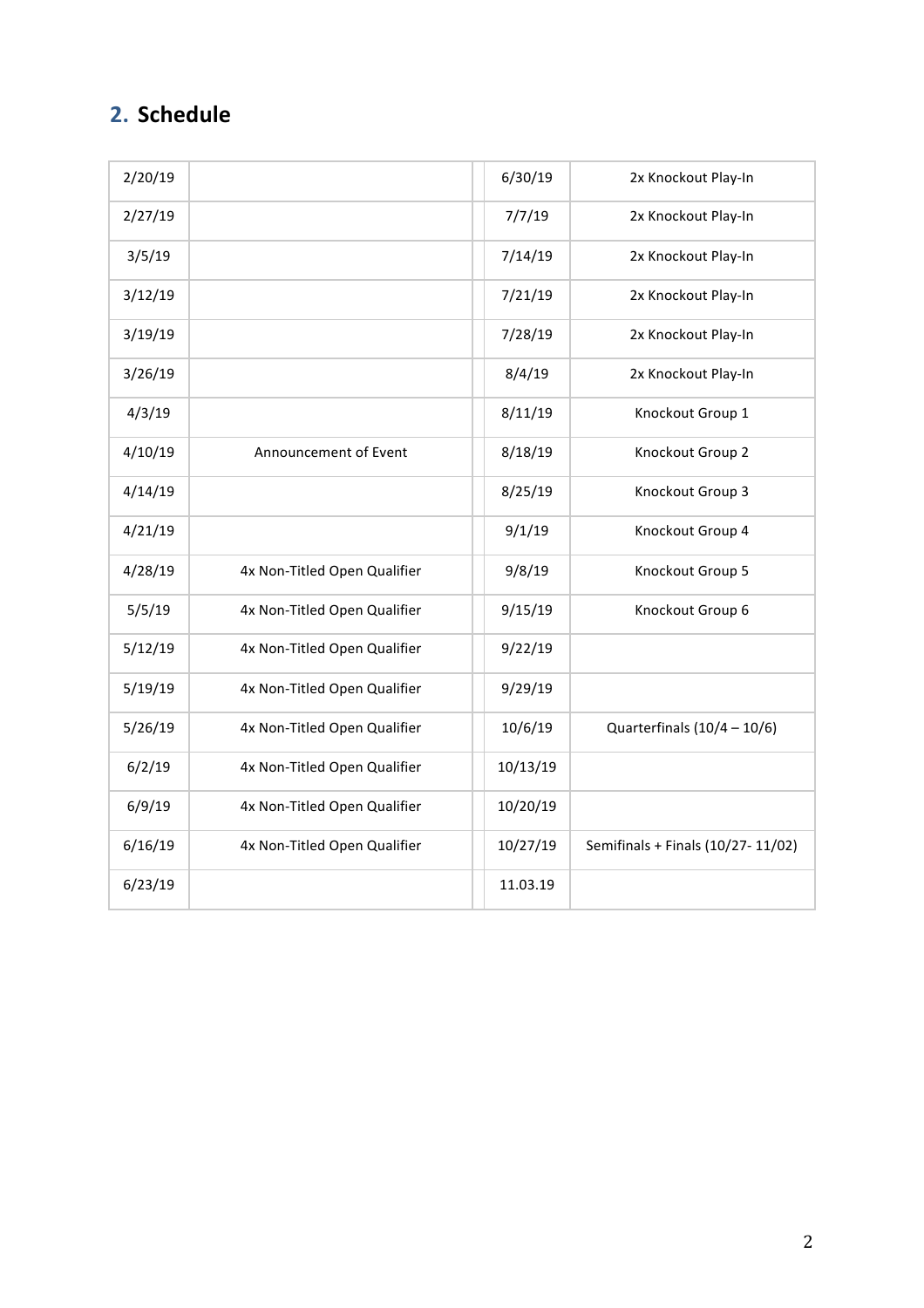# **2. Schedule**

| 2/20/19 |                              | 6/30/19  | 2x Knockout Play-In               |
|---------|------------------------------|----------|-----------------------------------|
| 2/27/19 |                              | 7/7/19   | 2x Knockout Play-In               |
| 3/5/19  |                              | 7/14/19  | 2x Knockout Play-In               |
| 3/12/19 |                              | 7/21/19  | 2x Knockout Play-In               |
| 3/19/19 |                              | 7/28/19  | 2x Knockout Play-In               |
| 3/26/19 |                              | 8/4/19   | 2x Knockout Play-In               |
| 4/3/19  |                              | 8/11/19  | Knockout Group 1                  |
| 4/10/19 | Announcement of Event        | 8/18/19  | Knockout Group 2                  |
| 4/14/19 |                              | 8/25/19  | Knockout Group 3                  |
| 4/21/19 |                              | 9/1/19   | Knockout Group 4                  |
| 4/28/19 | 4x Non-Titled Open Qualifier | 9/8/19   | Knockout Group 5                  |
| 5/5/19  | 4x Non-Titled Open Qualifier | 9/15/19  | Knockout Group 6                  |
| 5/12/19 | 4x Non-Titled Open Qualifier | 9/22/19  |                                   |
| 5/19/19 | 4x Non-Titled Open Qualifier | 9/29/19  |                                   |
| 5/26/19 | 4x Non-Titled Open Qualifier | 10/6/19  | Quarterfinals $(10/4 - 10/6)$     |
| 6/2/19  | 4x Non-Titled Open Qualifier | 10/13/19 |                                   |
| 6/9/19  | 4x Non-Titled Open Qualifier | 10/20/19 |                                   |
| 6/16/19 | 4x Non-Titled Open Qualifier | 10/27/19 | Semifinals + Finals (10/27-11/02) |
| 6/23/19 |                              | 11.03.19 |                                   |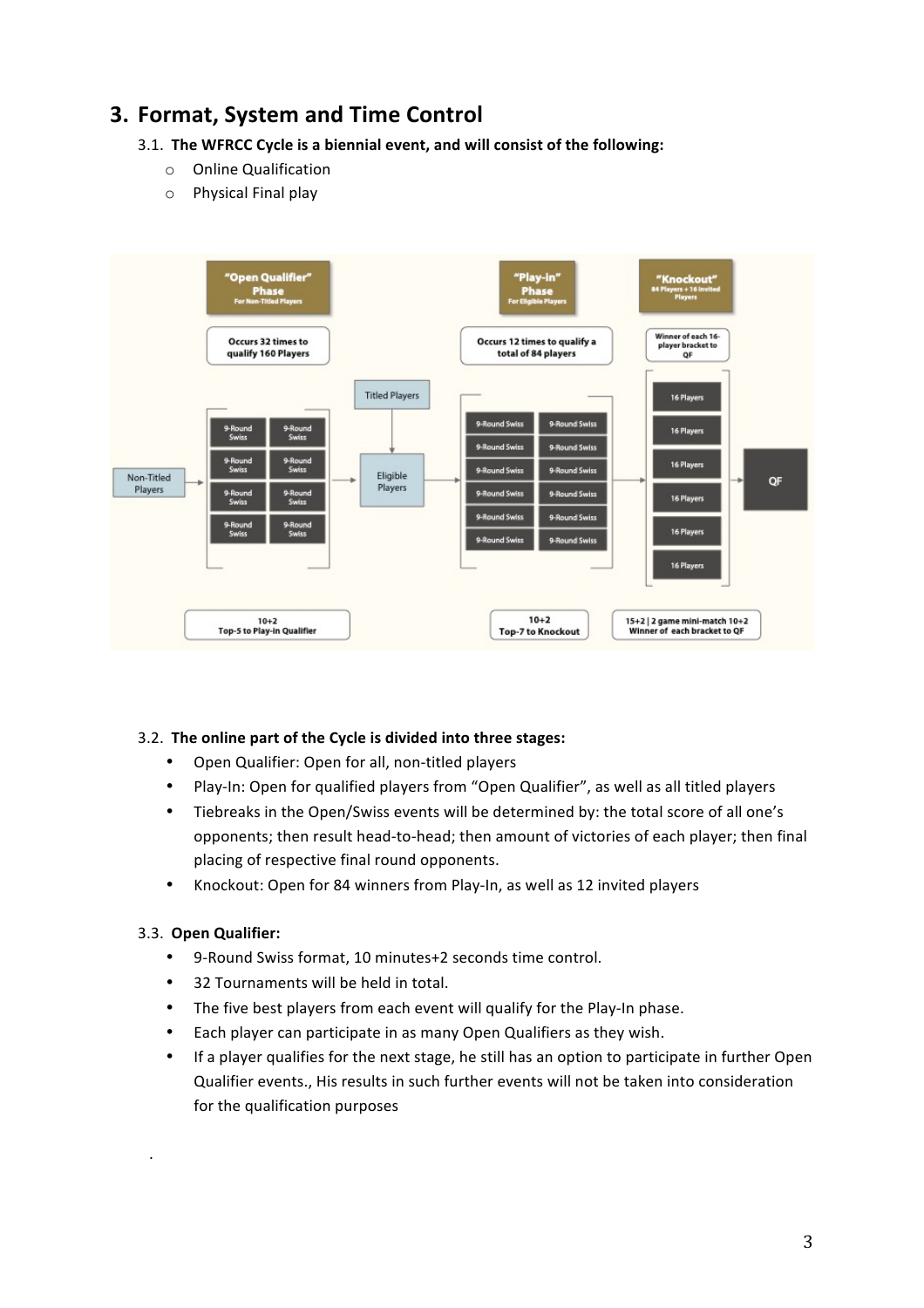# **3. Format, System and Time Control**

### 3.1. The WFRCC Cycle is a biennial event, and will consist of the following:

- o Online Qualification
- $\circ$  Physical Final play



### 3.2. The online part of the Cycle is divided into three stages:

- Open Qualifier: Open for all, non-titled players
- Play-In: Open for qualified players from "Open Qualifier", as well as all titled players
- Tiebreaks in the Open/Swiss events will be determined by: the total score of all one's opponents; then result head-to-head; then amount of victories of each player; then final placing of respective final round opponents.
- Knockout: Open for 84 winners from Play-In, as well as 12 invited players

### 3.3. **Open Qualifier:**

. 

- 9-Round Swiss format, 10 minutes+2 seconds time control.
- 32 Tournaments will be held in total.
- The five best players from each event will qualify for the Play-In phase.
- Each player can participate in as many Open Qualifiers as they wish.
- If a player qualifies for the next stage, he still has an option to participate in further Open Qualifier events., His results in such further events will not be taken into consideration for the qualification purposes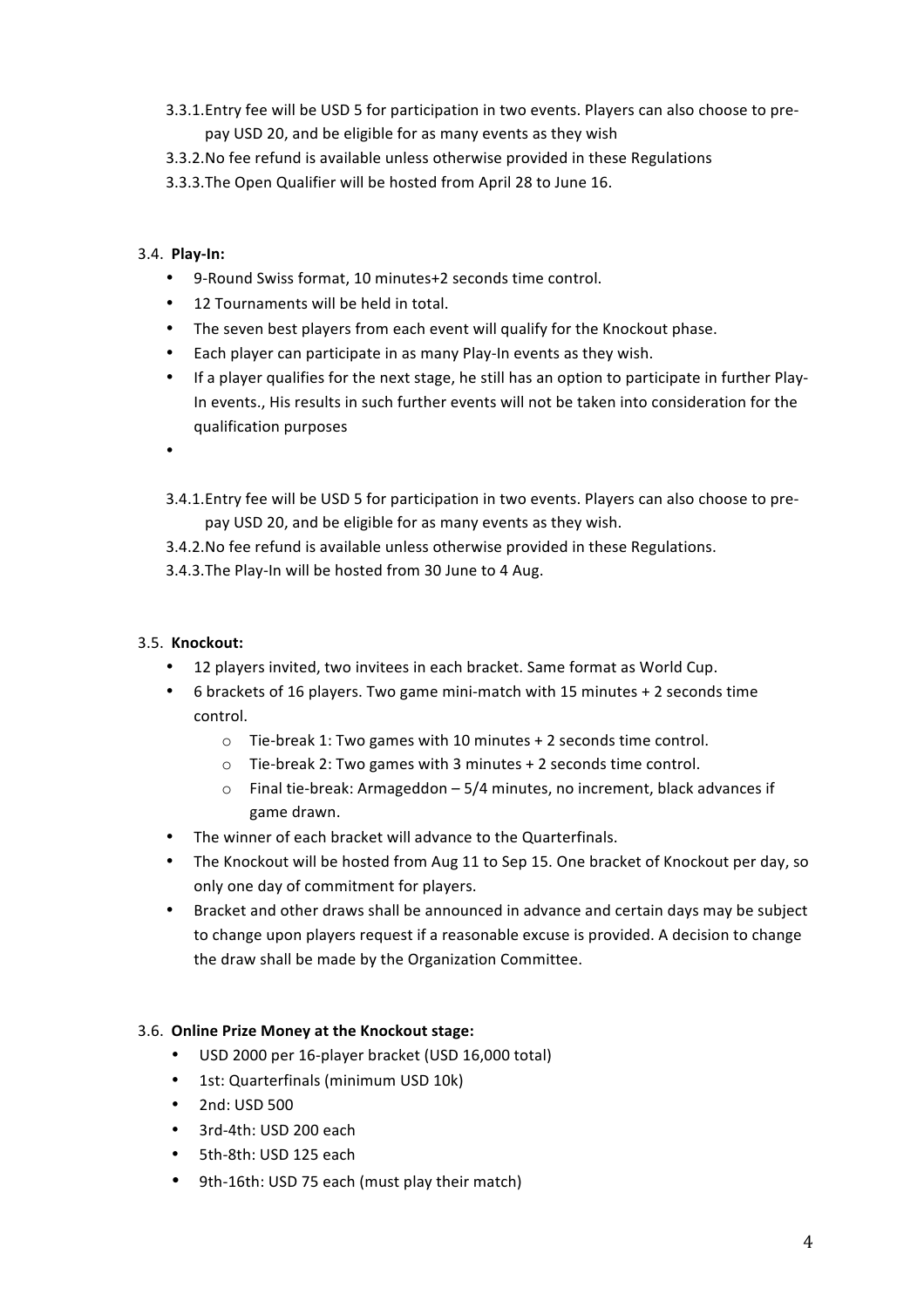- 3.3.1. Entry fee will be USD 5 for participation in two events. Players can also choose to prepay USD 20, and be eligible for as many events as they wish
- 3.3.2. No fee refund is available unless otherwise provided in these Regulations
- 3.3.3. The Open Qualifier will be hosted from April 28 to June 16.

### 3.4. **Play-In:**

- 9-Round Swiss format, 10 minutes+2 seconds time control.
- 12 Tournaments will be held in total.
- The seven best players from each event will qualify for the Knockout phase.
- Each player can participate in as many Play-In events as they wish.
- If a player qualifies for the next stage, he still has an option to participate in further Play-In events., His results in such further events will not be taken into consideration for the qualification purposes
- •
- 3.4.1. Entry fee will be USD 5 for participation in two events. Players can also choose to prepay USD 20, and be eligible for as many events as they wish.
- 3.4.2. No fee refund is available unless otherwise provided in these Regulations.
- 3.4.3. The Play-In will be hosted from 30 June to 4 Aug.

### 3.5. **Knockout:**

- 12 players invited, two invitees in each bracket. Same format as World Cup.
- 6 brackets of 16 players. Two game mini-match with 15 minutes + 2 seconds time control.
	- $\circ$  Tie-break 1: Two games with 10 minutes + 2 seconds time control.
	- $\circ$  Tie-break 2: Two games with 3 minutes + 2 seconds time control.
	- $\circ$  Final tie-break: Armageddon 5/4 minutes, no increment, black advances if game drawn.
- The winner of each bracket will advance to the Quarterfinals.
- The Knockout will be hosted from Aug 11 to Sep 15. One bracket of Knockout per day, so only one day of commitment for players.
- Bracket and other draws shall be announced in advance and certain days may be subject to change upon players request if a reasonable excuse is provided. A decision to change the draw shall be made by the Organization Committee.

### 3.6. Online Prize Money at the Knockout stage:

- USD 2000 per 16-player bracket (USD 16,000 total)
- 1st: Quarterfinals (minimum USD 10k)
- 2nd: USD 500
- 3rd-4th: USD 200 each
- 5th-8th: USD 125 each
- 9th-16th: USD 75 each (must play their match)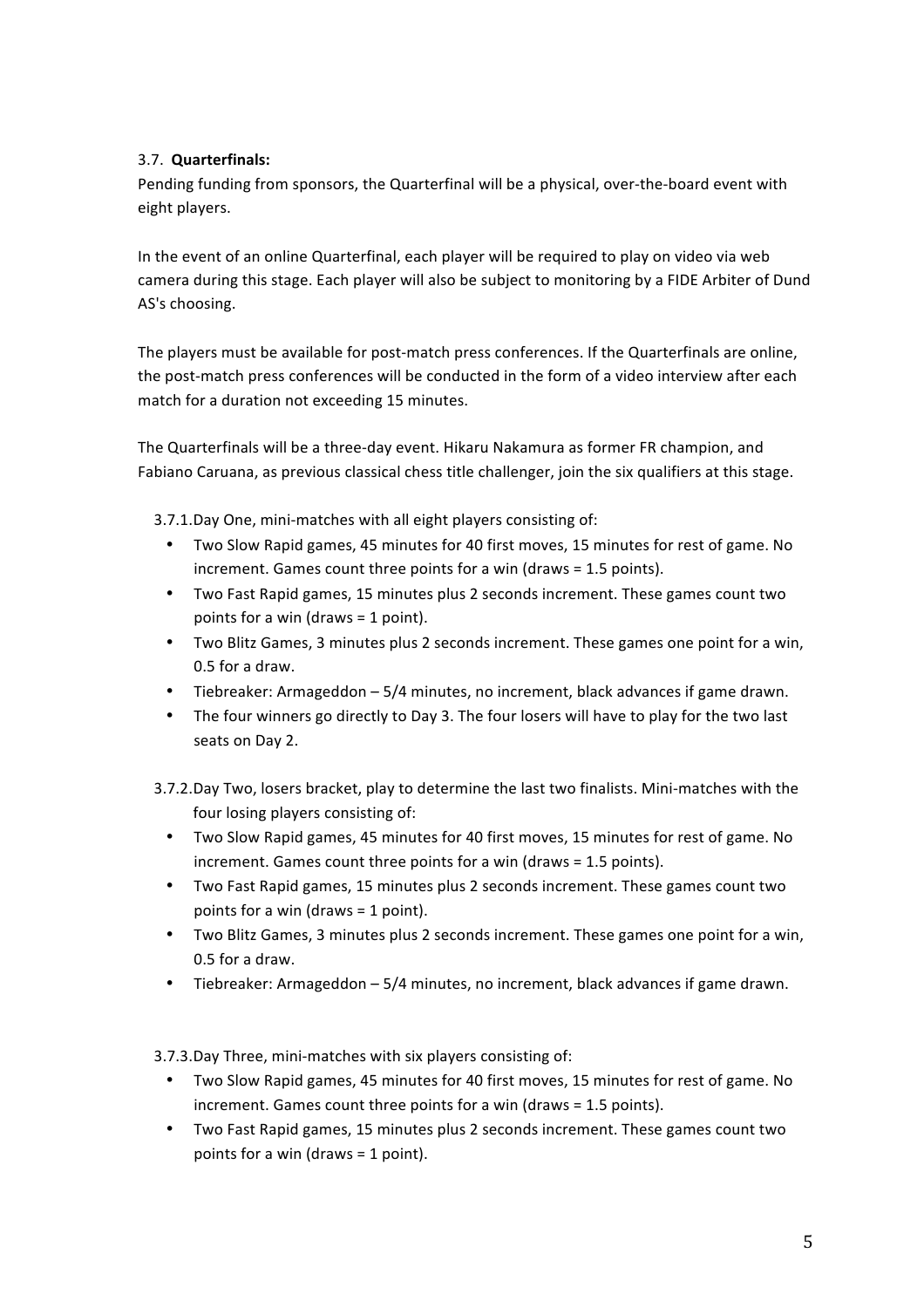### 3.7. **Quarterfinals:**

Pending funding from sponsors, the Quarterfinal will be a physical, over-the-board event with eight players.

In the event of an online Quarterfinal, each player will be required to play on video via web camera during this stage. Each player will also be subject to monitoring by a FIDE Arbiter of Dund AS's choosing.

The players must be available for post-match press conferences. If the Quarterfinals are online, the post-match press conferences will be conducted in the form of a video interview after each match for a duration not exceeding 15 minutes.

The Quarterfinals will be a three-day event. Hikaru Nakamura as former FR champion, and Fabiano Caruana, as previous classical chess title challenger, join the six qualifiers at this stage.

3.7.1.Day One, mini-matches with all eight players consisting of:

- Two Slow Rapid games, 45 minutes for 40 first moves, 15 minutes for rest of game. No increment. Games count three points for a win (draws  $= 1.5$  points).
- Two Fast Rapid games, 15 minutes plus 2 seconds increment. These games count two points for a win (draws  $= 1$  point).
- Two Blitz Games, 3 minutes plus 2 seconds increment. These games one point for a win, 0.5 for a draw.
- Tiebreaker: Armageddon  $-5/4$  minutes, no increment, black advances if game drawn.
- The four winners go directly to Day 3. The four losers will have to play for the two last seats on Day 2.
- 3.7.2.Day Two, losers bracket, play to determine the last two finalists. Mini-matches with the four losing players consisting of:
	- Two Slow Rapid games, 45 minutes for 40 first moves, 15 minutes for rest of game. No  $increment. Games count three points for a win (draws = 1.5 points).$
	- Two Fast Rapid games, 15 minutes plus 2 seconds increment. These games count two points for a win (draws  $=$  1 point).
	- Two Blitz Games, 3 minutes plus 2 seconds increment. These games one point for a win, 0.5 for a draw.
	- Tiebreaker: Armageddon 5/4 minutes, no increment, black advances if game drawn.

3.7.3.Day Three, mini-matches with six players consisting of:

- Two Slow Rapid games, 45 minutes for 40 first moves, 15 minutes for rest of game. No increment. Games count three points for a win (draws  $= 1.5$  points).
- Two Fast Rapid games, 15 minutes plus 2 seconds increment. These games count two points for a win (draws  $= 1$  point).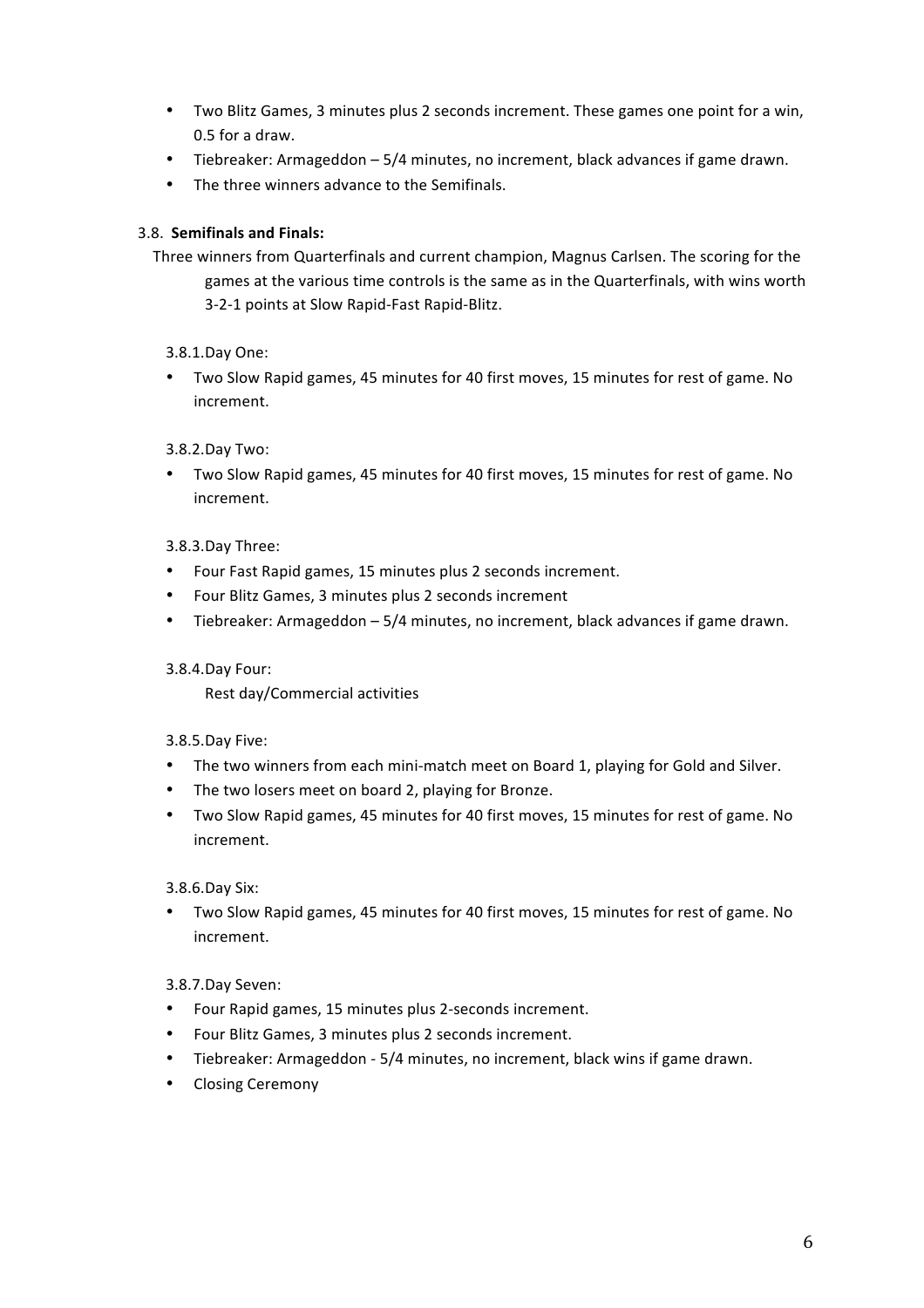- Two Blitz Games, 3 minutes plus 2 seconds increment. These games one point for a win, 0.5 for a draw.
- Tiebreaker: Armageddon 5/4 minutes, no increment, black advances if game drawn.
- The three winners advance to the Semifinals.

### 3.8. **Semifinals and Finals:**

- Three winners from Quarterfinals and current champion, Magnus Carlsen. The scoring for the games at the various time controls is the same as in the Quarterfinals, with wins worth 3-2-1 points at Slow Rapid-Fast Rapid-Blitz.
	- 3.8.1.Day One:
	- Two Slow Rapid games, 45 minutes for 40 first moves, 15 minutes for rest of game. No increment.

#### 3.8.2.Day Two:

• Two Slow Rapid games, 45 minutes for 40 first moves, 15 minutes for rest of game. No increment. 

#### 3.8.3.Day Three:

- Four Fast Rapid games, 15 minutes plus 2 seconds increment.
- Four Blitz Games, 3 minutes plus 2 seconds increment
- Tiebreaker: Armageddon 5/4 minutes, no increment, black advances if game drawn.

#### 3.8.4.Day Four:

Rest day/Commercial activities

#### 3.8.5.Day Five:

- The two winners from each mini-match meet on Board 1, playing for Gold and Silver.
- The two losers meet on board 2, playing for Bronze.
- Two Slow Rapid games, 45 minutes for 40 first moves, 15 minutes for rest of game. No increment.

3.8.6.Day Six:

• Two Slow Rapid games, 45 minutes for 40 first moves, 15 minutes for rest of game. No increment. 

### 3.8.7.Day Seven:

- Four Rapid games, 15 minutes plus 2-seconds increment.
- Four Blitz Games, 3 minutes plus 2 seconds increment.
- Tiebreaker: Armageddon 5/4 minutes, no increment, black wins if game drawn.
- Closing Ceremony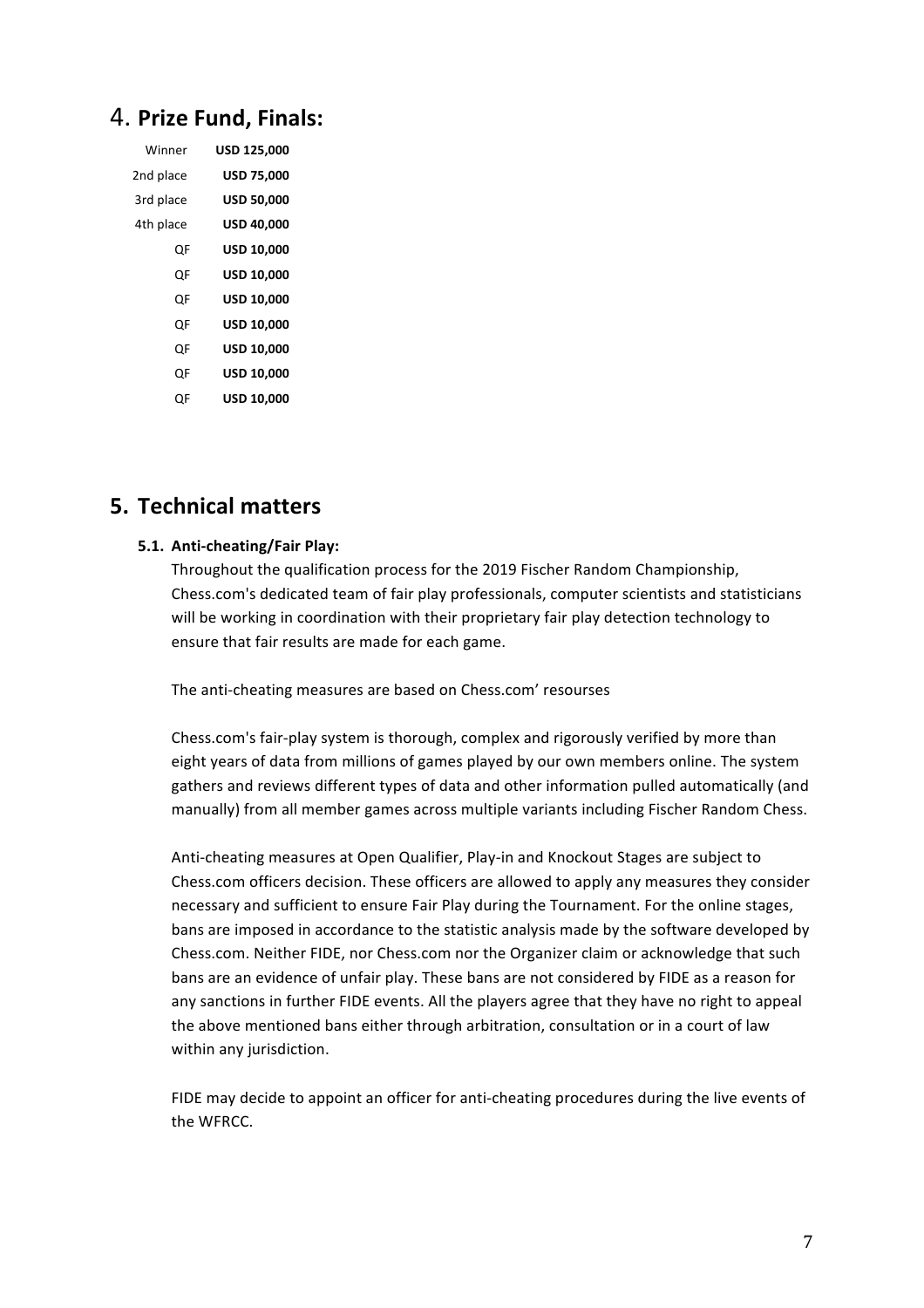# 4. **Prize Fund, Finals:**

| Winner    | USD 125,000       |  |
|-----------|-------------------|--|
| 2nd place | <b>USD 75,000</b> |  |
| 3rd place | <b>USD 50,000</b> |  |
| 4th place | <b>USD 40,000</b> |  |
| OF        | <b>USD 10,000</b> |  |
| OF        | <b>USD 10,000</b> |  |
| OF        | USD 10,000        |  |
| OF        | USD 10,000        |  |
| OF        | USD 10,000        |  |
| OF        | <b>USD 10,000</b> |  |
| ()F       | <b>USD 10,000</b> |  |

## **5. Technical matters**

#### **5.1. Anti-cheating/Fair Play:**

Throughout the qualification process for the 2019 Fischer Random Championship, Chess.com's dedicated team of fair play professionals, computer scientists and statisticians will be working in coordination with their proprietary fair play detection technology to ensure that fair results are made for each game.

The anti-cheating measures are based on Chess.com' resourses

Chess.com's fair-play system is thorough, complex and rigorously verified by more than eight years of data from millions of games played by our own members online. The system gathers and reviews different types of data and other information pulled automatically (and manually) from all member games across multiple variants including Fischer Random Chess.

Anti-cheating measures at Open Qualifier, Play-in and Knockout Stages are subject to Chess.com officers decision. These officers are allowed to apply any measures they consider necessary and sufficient to ensure Fair Play during the Tournament. For the online stages, bans are imposed in accordance to the statistic analysis made by the software developed by Chess.com. Neither FIDE, nor Chess.com nor the Organizer claim or acknowledge that such bans are an evidence of unfair play. These bans are not considered by FIDE as a reason for any sanctions in further FIDE events. All the players agree that they have no right to appeal the above mentioned bans either through arbitration, consultation or in a court of law within any jurisdiction.

FIDE may decide to appoint an officer for anti-cheating procedures during the live events of the WFRCC.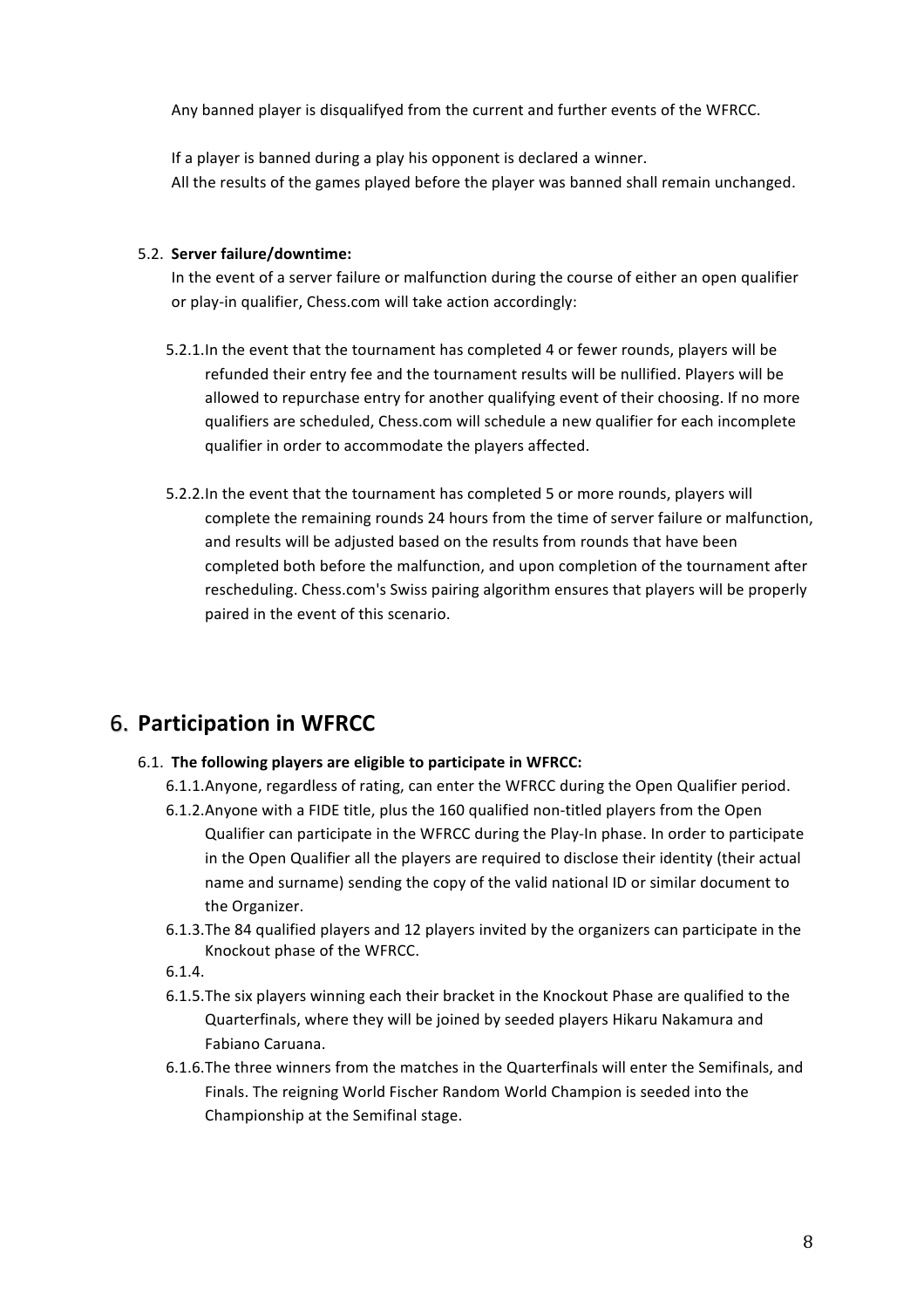Any banned player is disqualifyed from the current and further events of the WFRCC.

If a player is banned during a play his opponent is declared a winner. All the results of the games played before the player was banned shall remain unchanged.

#### 5.2. Server failure/downtime:

In the event of a server failure or malfunction during the course of either an open qualifier or play-in qualifier, Chess.com will take action accordingly:

- 5.2.1. In the event that the tournament has completed 4 or fewer rounds, players will be refunded their entry fee and the tournament results will be nullified. Players will be allowed to repurchase entry for another qualifying event of their choosing. If no more qualifiers are scheduled, Chess.com will schedule a new qualifier for each incomplete qualifier in order to accommodate the players affected.
- 5.2.2.In the event that the tournament has completed 5 or more rounds, players will complete the remaining rounds 24 hours from the time of server failure or malfunction, and results will be adjusted based on the results from rounds that have been completed both before the malfunction, and upon completion of the tournament after rescheduling. Chess.com's Swiss pairing algorithm ensures that players will be properly paired in the event of this scenario.

# 6. **Participation in WFRCC**

- 6.1. The following players are eligible to participate in WFRCC:
	- 6.1.1. Anyone, regardless of rating, can enter the WFRCC during the Open Qualifier period.
	- 6.1.2. Anyone with a FIDE title, plus the 160 qualified non-titled players from the Open Qualifier can participate in the WFRCC during the Play-In phase. In order to participate in the Open Qualifier all the players are required to disclose their identity (their actual name and surname) sending the copy of the valid national ID or similar document to the Organizer.
	- 6.1.3. The 84 qualified players and 12 players invited by the organizers can participate in the Knockout phase of the WFRCC.
	- 6.1.4.
	- 6.1.5. The six players winning each their bracket in the Knockout Phase are qualified to the Quarterfinals, where they will be joined by seeded players Hikaru Nakamura and Fabiano Caruana.
	- 6.1.6. The three winners from the matches in the Quarterfinals will enter the Semifinals, and Finals. The reigning World Fischer Random World Champion is seeded into the Championship at the Semifinal stage.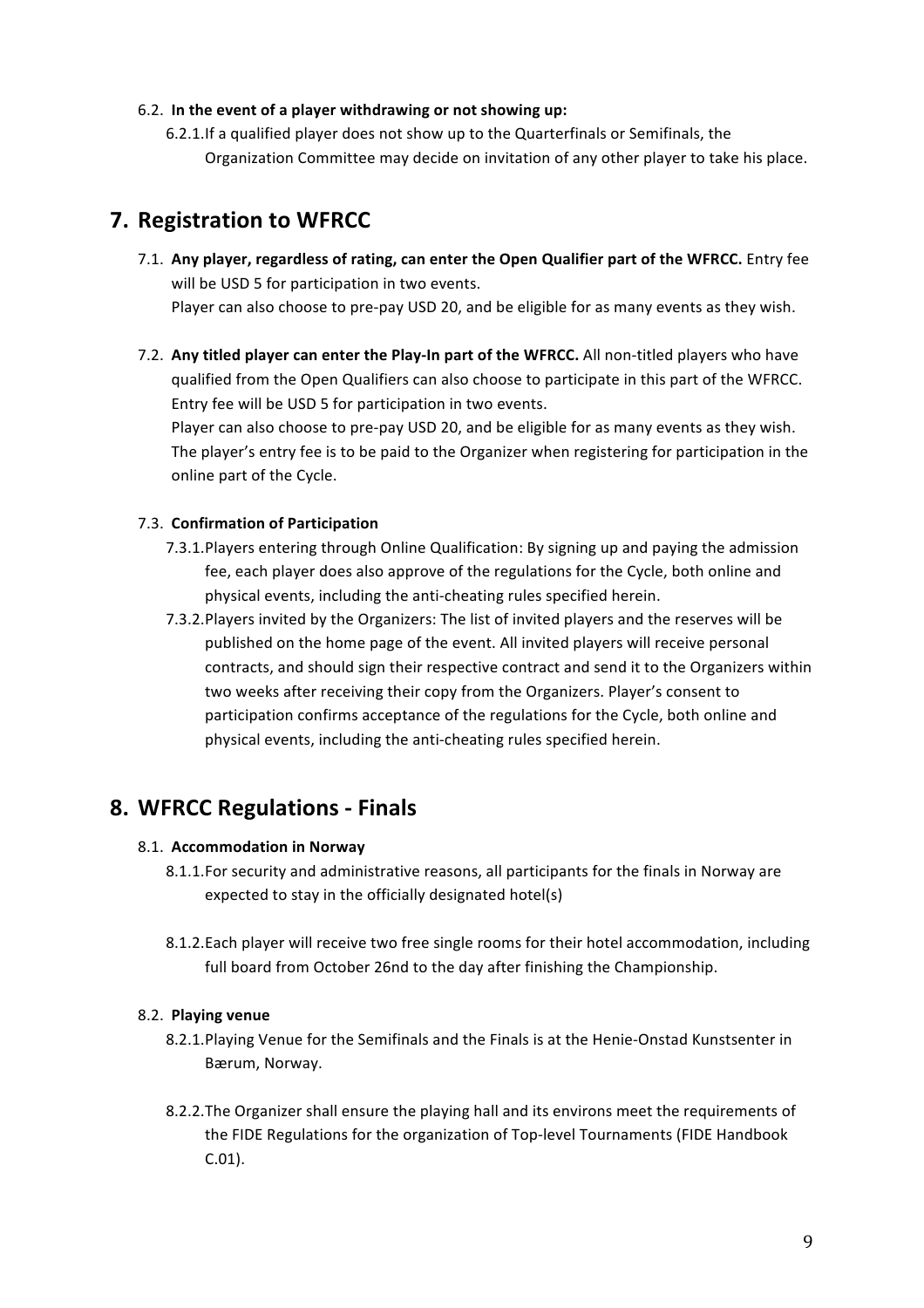#### 6.2. In the event of a player withdrawing or not showing up:

6.2.1. If a qualified player does not show up to the Quarterfinals or Semifinals, the Organization Committee may decide on invitation of any other player to take his place.

# **7.** Registration to WFRCC

- 7.1. Any player, regardless of rating, can enter the Open Qualifier part of the WFRCC. Entry fee will be USD 5 for participation in two events. Player can also choose to pre-pay USD 20, and be eligible for as many events as they wish.
- 7.2. Any titled player can enter the Play-In part of the WFRCC. All non-titled players who have qualified from the Open Qualifiers can also choose to participate in this part of the WFRCC. Entry fee will be USD 5 for participation in two events.

Player can also choose to pre-pay USD 20, and be eligible for as many events as they wish. The player's entry fee is to be paid to the Organizer when registering for participation in the online part of the Cycle.

### 7.3. **Confirmation of Participation**

- 7.3.1. Players entering through Online Qualification: By signing up and paying the admission fee, each player does also approve of the regulations for the Cycle, both online and physical events, including the anti-cheating rules specified herein.
- 7.3.2. Players invited by the Organizers: The list of invited players and the reserves will be published on the home page of the event. All invited players will receive personal contracts, and should sign their respective contract and send it to the Organizers within two weeks after receiving their copy from the Organizers. Player's consent to participation confirms acceptance of the regulations for the Cycle, both online and physical events, including the anti-cheating rules specified herein.

# **8. WFRCC Regulations - Finals**

### 8.1. **Accommodation in Norway**

- 8.1.1. For security and administrative reasons, all participants for the finals in Norway are expected to stay in the officially designated hotel(s)
- 8.1.2. Each player will receive two free single rooms for their hotel accommodation, including full board from October 26nd to the day after finishing the Championship.

### 8.2. **Playing venue**

- 8.2.1. Playing Venue for the Semifinals and the Finals is at the Henie-Onstad Kunstsenter in Bærum, Norway.
- 8.2.2. The Organizer shall ensure the playing hall and its environs meet the requirements of the FIDE Regulations for the organization of Top-level Tournaments (FIDE Handbook C.01).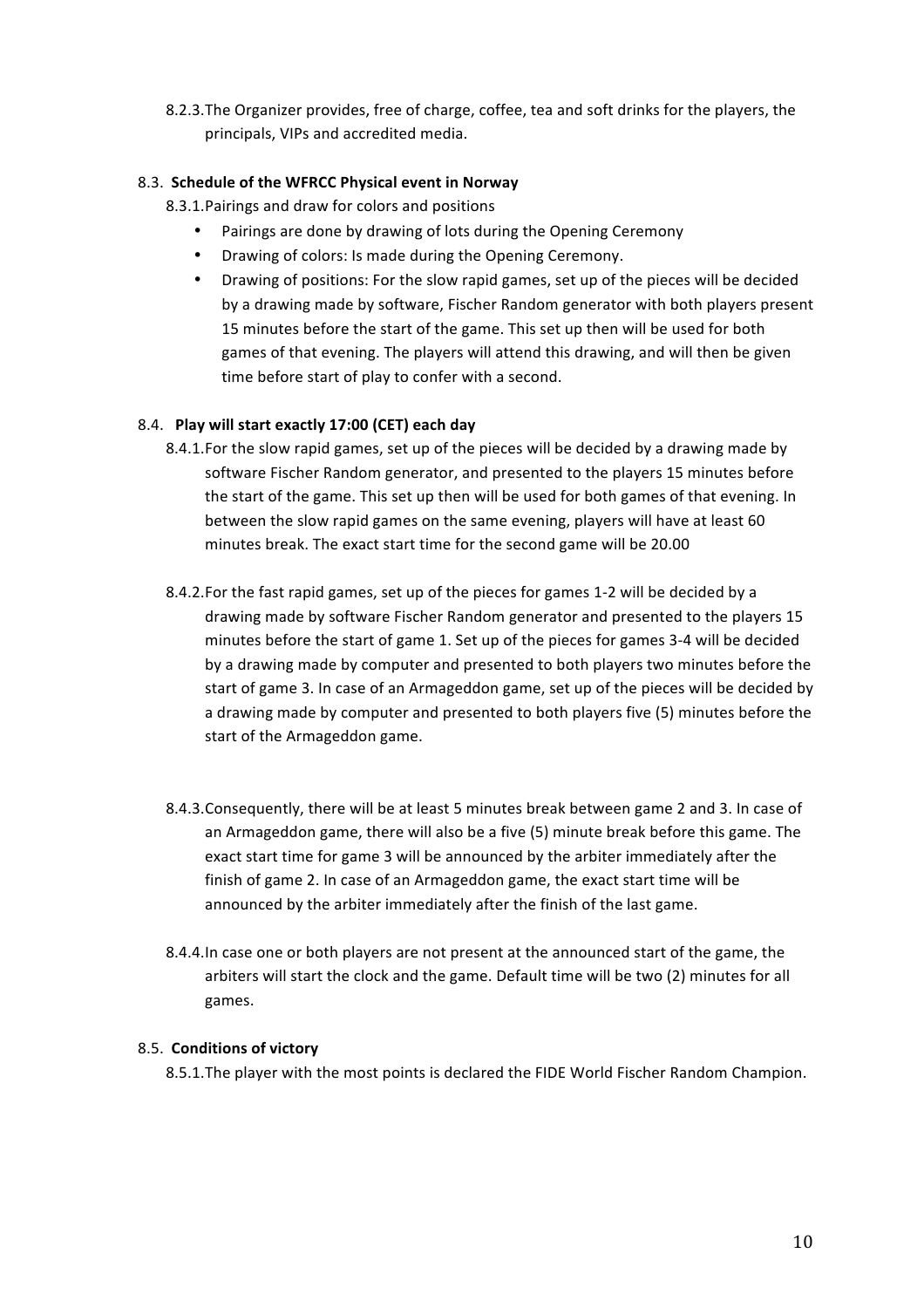8.2.3. The Organizer provides, free of charge, coffee, tea and soft drinks for the players, the principals, VIPs and accredited media.

#### 8.3. **Schedule of the WFRCC Physical event in Norway**

8.3.1. Pairings and draw for colors and positions

- Pairings are done by drawing of lots during the Opening Ceremony
- Drawing of colors: Is made during the Opening Ceremony.
- Drawing of positions: For the slow rapid games, set up of the pieces will be decided by a drawing made by software, Fischer Random generator with both players present 15 minutes before the start of the game. This set up then will be used for both games of that evening. The players will attend this drawing, and will then be given time before start of play to confer with a second.

#### 8.4. **Play will start exactly 17:00 (CET) each day**

- 8.4.1. For the slow rapid games, set up of the pieces will be decided by a drawing made by software Fischer Random generator, and presented to the players 15 minutes before the start of the game. This set up then will be used for both games of that evening. In between the slow rapid games on the same evening, players will have at least 60 minutes break. The exact start time for the second game will be 20.00
- 8.4.2. For the fast rapid games, set up of the pieces for games 1-2 will be decided by a drawing made by software Fischer Random generator and presented to the players 15 minutes before the start of game 1. Set up of the pieces for games 3-4 will be decided by a drawing made by computer and presented to both players two minutes before the start of game 3. In case of an Armageddon game, set up of the pieces will be decided by a drawing made by computer and presented to both players five (5) minutes before the start of the Armageddon game.
- 8.4.3. Consequently, there will be at least 5 minutes break between game 2 and 3. In case of an Armageddon game, there will also be a five (5) minute break before this game. The exact start time for game 3 will be announced by the arbiter immediately after the finish of game 2. In case of an Armageddon game, the exact start time will be announced by the arbiter immediately after the finish of the last game.
- 8.4.4.In case one or both players are not present at the announced start of the game, the arbiters will start the clock and the game. Default time will be two (2) minutes for all games.

#### 8.5. **Conditions of victory**

8.5.1. The player with the most points is declared the FIDE World Fischer Random Champion.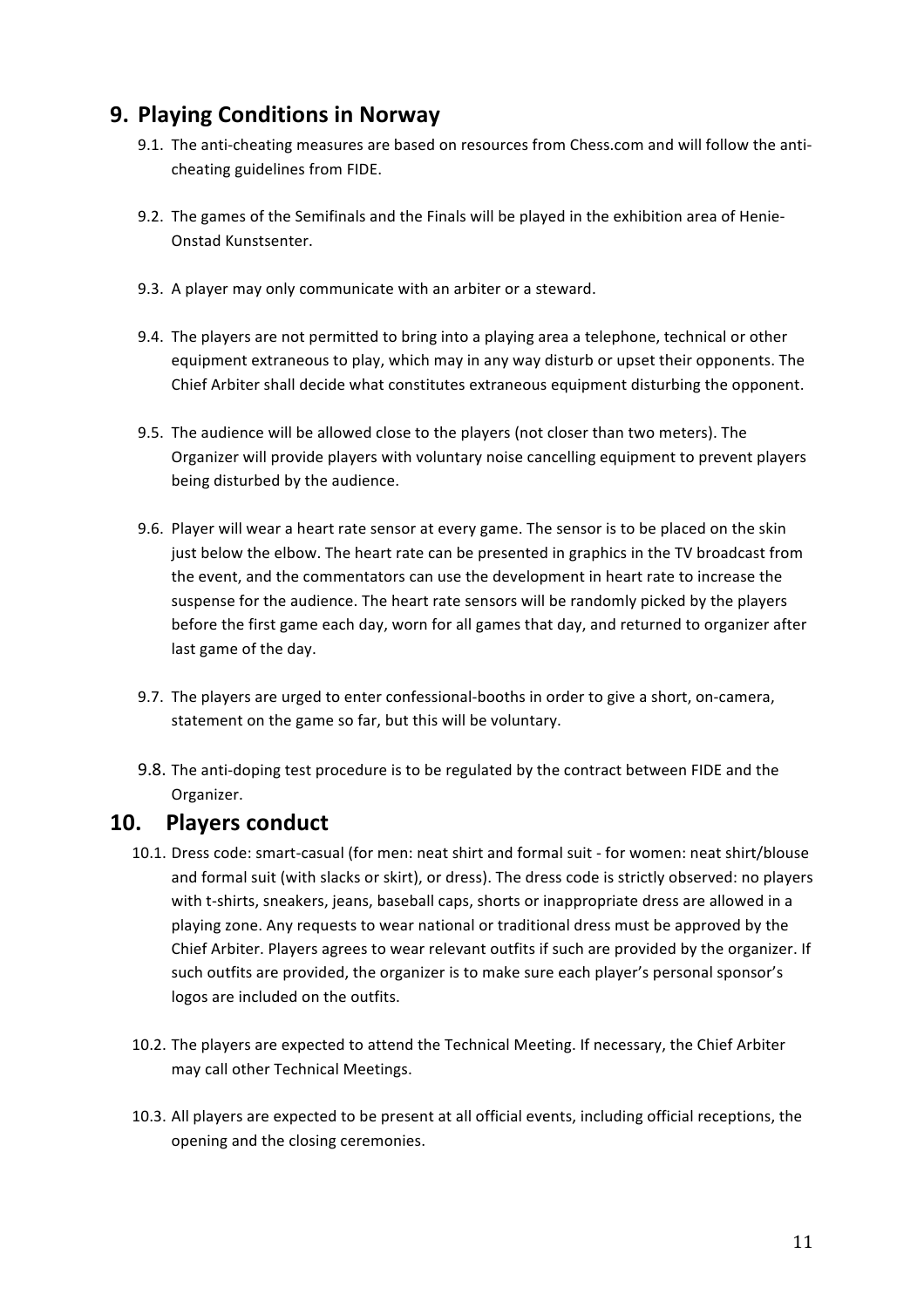# **9. Playing Conditions in Norway**

- 9.1. The anti-cheating measures are based on resources from Chess.com and will follow the anticheating guidelines from FIDE.
- 9.2. The games of the Semifinals and the Finals will be played in the exhibition area of Henie-Onstad Kunstsenter.
- 9.3. A player may only communicate with an arbiter or a steward.
- 9.4. The players are not permitted to bring into a playing area a telephone, technical or other equipment extraneous to play, which may in any way disturb or upset their opponents. The Chief Arbiter shall decide what constitutes extraneous equipment disturbing the opponent.
- 9.5. The audience will be allowed close to the players (not closer than two meters). The Organizer will provide players with voluntary noise cancelling equipment to prevent players being disturbed by the audience.
- 9.6. Player will wear a heart rate sensor at every game. The sensor is to be placed on the skin just below the elbow. The heart rate can be presented in graphics in the TV broadcast from the event, and the commentators can use the development in heart rate to increase the suspense for the audience. The heart rate sensors will be randomly picked by the players before the first game each day, worn for all games that day, and returned to organizer after last game of the day.
- 9.7. The players are urged to enter confessional-booths in order to give a short, on-camera, statement on the game so far, but this will be voluntary.
- 9.8. The anti-doping test procedure is to be regulated by the contract between FIDE and the Organizer.

## 10. Players conduct

- 10.1. Dress code: smart-casual (for men: neat shirt and formal suit for women: neat shirt/blouse and formal suit (with slacks or skirt), or dress). The dress code is strictly observed: no players with t-shirts, sneakers, jeans, baseball caps, shorts or inappropriate dress are allowed in a playing zone. Any requests to wear national or traditional dress must be approved by the Chief Arbiter. Players agrees to wear relevant outfits if such are provided by the organizer. If such outfits are provided, the organizer is to make sure each player's personal sponsor's logos are included on the outfits.
- 10.2. The players are expected to attend the Technical Meeting. If necessary, the Chief Arbiter may call other Technical Meetings.
- 10.3. All players are expected to be present at all official events, including official receptions, the opening and the closing ceremonies.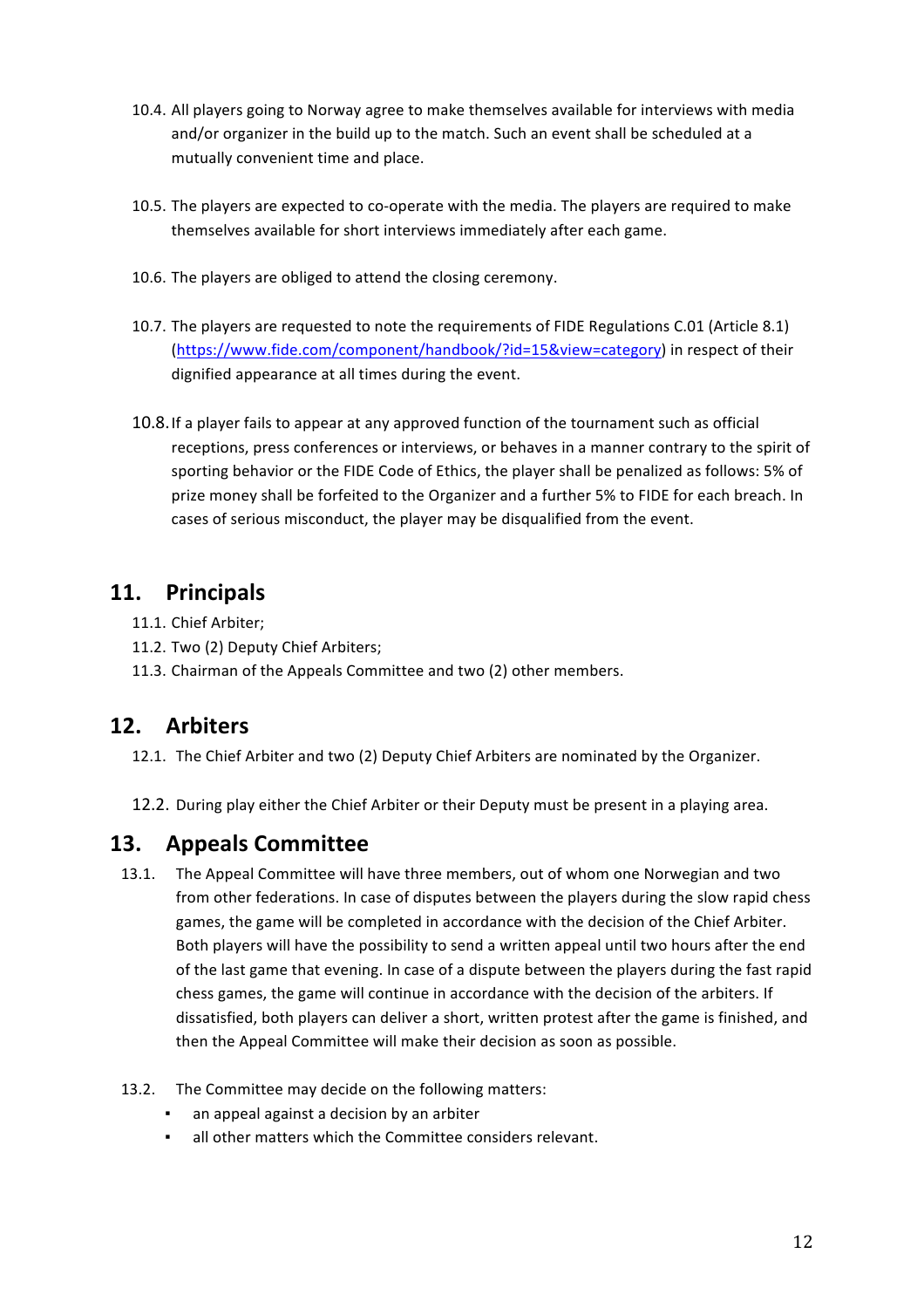- 10.4. All players going to Norway agree to make themselves available for interviews with media and/or organizer in the build up to the match. Such an event shall be scheduled at a mutually convenient time and place.
- 10.5. The players are expected to co-operate with the media. The players are required to make themselves available for short interviews immediately after each game.
- 10.6. The players are obliged to attend the closing ceremony.
- 10.7. The players are requested to note the requirements of FIDE Regulations C.01 (Article 8.1) (https://www.fide.com/component/handbook/?id=15&view=category) in respect of their dignified appearance at all times during the event.
- 10.8. If a player fails to appear at any approved function of the tournament such as official receptions, press conferences or interviews, or behaves in a manner contrary to the spirit of sporting behavior or the FIDE Code of Ethics, the player shall be penalized as follows: 5% of prize money shall be forfeited to the Organizer and a further 5% to FIDE for each breach. In cases of serious misconduct, the player may be disqualified from the event.

# **11. Principals**

- 11.1. Chief Arbiter:
- 11.2. Two (2) Deputy Chief Arbiters;
- 11.3. Chairman of the Appeals Committee and two (2) other members.

# **12. Arbiters**

- 12.1. The Chief Arbiter and two (2) Deputy Chief Arbiters are nominated by the Organizer.
- 12.2. During play either the Chief Arbiter or their Deputy must be present in a playing area.

# **13. Appeals Committee**

13.1. The Appeal Committee will have three members, out of whom one Norwegian and two from other federations. In case of disputes between the players during the slow rapid chess games, the game will be completed in accordance with the decision of the Chief Arbiter. Both players will have the possibility to send a written appeal until two hours after the end of the last game that evening. In case of a dispute between the players during the fast rapid chess games, the game will continue in accordance with the decision of the arbiters. If dissatisfied, both players can deliver a short, written protest after the game is finished, and then the Appeal Committee will make their decision as soon as possible.

### 13.2. The Committee may decide on the following matters:

- an appeal against a decision by an arbiter
- **all other matters which the Committee considers relevant.**